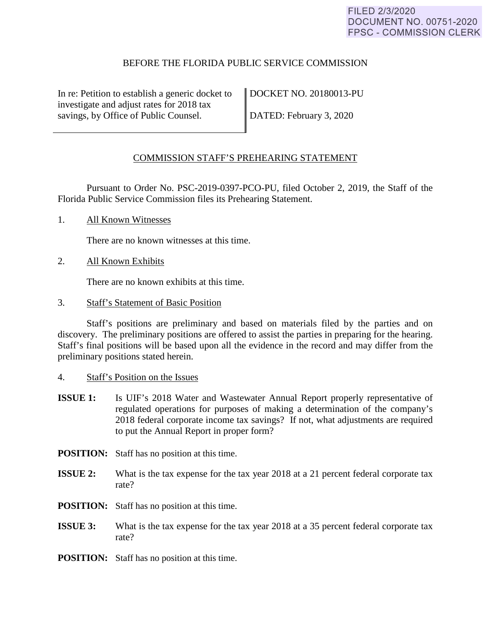### BEFORE THE FLORIDA PUBLIC SERVICE COMMISSION

In re: Petition to establish a generic docket to investigate and adjust rates for 2018 tax savings, by Office of Public Counsel.

DOCKET NO. 20180013-PU

DATED: February 3, 2020

#### <span id="page-0-0"></span>COMMISSION STAFF'S PREHEARING STATEMENT

Pursuant to Order No. PSC-2019-0397-PCO-PU, filed October 2, 2019, the Staff of the Florida Public Service Commission files its Prehearing Statement.

1. All Known Witnesses

There are no known witnesses at this time.

2. All Known Exhibits

There are no known exhibits at this time.

3. Staff's Statement of Basic Position

Staff's positions are preliminary and based on materials filed by the parties and on discovery. The preliminary positions are offered to assist the parties in preparing for the hearing. Staff's final positions will be based upon all the evidence in the record and may differ from the preliminary positions stated herein.

- 4. Staff's Position on the Issues
- **ISSUE 1:** Is UIF's 2018 Water and Wastewater Annual Report properly representative of regulated operations for purposes of making a determination of the company's 2018 federal corporate income tax savings? If not, what adjustments are required to put the Annual Report in proper form?
- **POSITION:** Staff has no position at this time.
- **ISSUE 2:** What is the tax expense for the tax year 2018 at a 21 percent federal corporate tax rate?
- **POSITION:** Staff has no position at this time.
- **ISSUE 3:** What is the tax expense for the tax year 2018 at a 35 percent federal corporate tax rate?
- **POSITION:** Staff has no position at this time.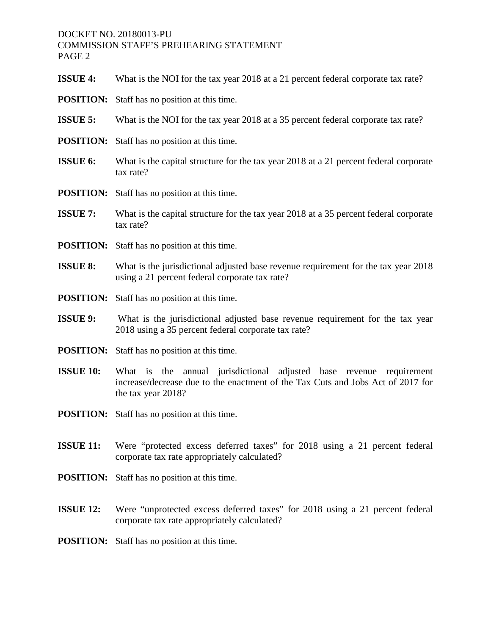# DOCKET NO. 20180013-PU COMMISSION STAFF'S PREHEARING STATEMENT PAGE 2

| <b>ISSUE 4:</b>  | What is the NOI for the tax year 2018 at a 21 percent federal corporate tax rate?                                                                                            |
|------------------|------------------------------------------------------------------------------------------------------------------------------------------------------------------------------|
| <b>POSITION:</b> | Staff has no position at this time.                                                                                                                                          |
| <b>ISSUE 5:</b>  | What is the NOI for the tax year 2018 at a 35 percent federal corporate tax rate?                                                                                            |
| <b>POSITION:</b> | Staff has no position at this time.                                                                                                                                          |
| <b>ISSUE 6:</b>  | What is the capital structure for the tax year 2018 at a 21 percent federal corporate<br>tax rate?                                                                           |
| <b>POSITION:</b> | Staff has no position at this time.                                                                                                                                          |
| <b>ISSUE 7:</b>  | What is the capital structure for the tax year 2018 at a 35 percent federal corporate<br>tax rate?                                                                           |
| <b>POSITION:</b> | Staff has no position at this time.                                                                                                                                          |
| <b>ISSUE 8:</b>  | What is the jurisdictional adjusted base revenue requirement for the tax year 2018<br>using a 21 percent federal corporate tax rate?                                         |
| <b>POSITION:</b> | Staff has no position at this time.                                                                                                                                          |
| <b>ISSUE 9:</b>  | What is the jurisdictional adjusted base revenue requirement for the tax year                                                                                                |
|                  | 2018 using a 35 percent federal corporate tax rate?                                                                                                                          |
| <b>POSITION:</b> | Staff has no position at this time.                                                                                                                                          |
| <b>ISSUE 10:</b> | What is the annual jurisdictional adjusted base revenue requirement<br>increase/decrease due to the enactment of the Tax Cuts and Jobs Act of 2017 for<br>the tax year 2018? |
| <b>POSITION:</b> | Staff has no position at this time.                                                                                                                                          |
| <b>ISSUE 11:</b> | Were "protected excess deferred taxes" for 2018 using a 21 percent federal<br>corporate tax rate appropriately calculated?                                                   |
|                  | <b>POSITION:</b> Staff has no position at this time.                                                                                                                         |
| <b>ISSUE 12:</b> | Were "unprotected excess deferred taxes" for 2018 using a 21 percent federal<br>corporate tax rate appropriately calculated?                                                 |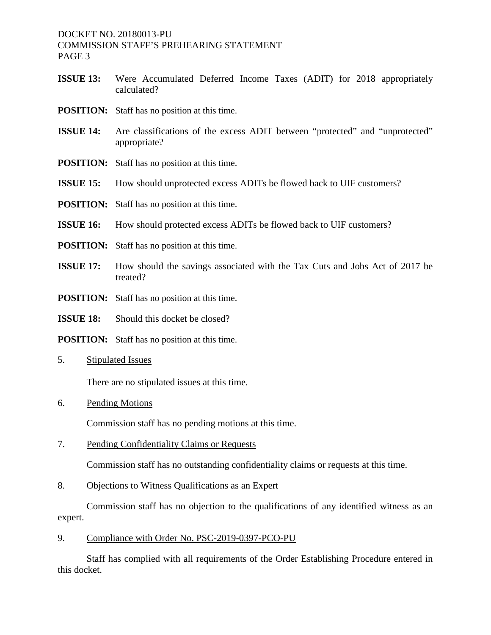DOCKET NO. 20180013-PU COMMISSION STAFF'S PREHEARING STATEMENT PAGE 3

- **ISSUE 13:** Were Accumulated Deferred Income Taxes (ADIT) for 2018 appropriately calculated?
- **POSITION:** Staff has no position at this time.
- **ISSUE 14:** Are classifications of the excess ADIT between "protected" and "unprotected" appropriate?
- **POSITION:** Staff has no position at this time.
- **ISSUE 15:** How should unprotected excess ADITs be flowed back to UIF customers?
- **POSITION:** Staff has no position at this time.
- **ISSUE 16:** How should protected excess ADITs be flowed back to UIF customers?
- **POSITION:** Staff has no position at this time.
- **ISSUE 17:** How should the savings associated with the Tax Cuts and Jobs Act of 2017 be treated?
- **POSITION:** Staff has no position at this time.
- **ISSUE 18:** Should this docket be closed?
- **POSITION:** Staff has no position at this time.
- 5. Stipulated Issues

There are no stipulated issues at this time.

6. Pending Motions

Commission staff has no pending motions at this time.

7. Pending Confidentiality Claims or Requests

Commission staff has no outstanding confidentiality claims or requests at this time.

8. Objections to Witness Qualifications as an Expert

Commission staff has no objection to the qualifications of any identified witness as an expert.

9. Compliance with Order No. [PSC-2019-0397-PCO-PU](#page-0-0)

Staff has complied with all requirements of the Order Establishing Procedure entered in this docket.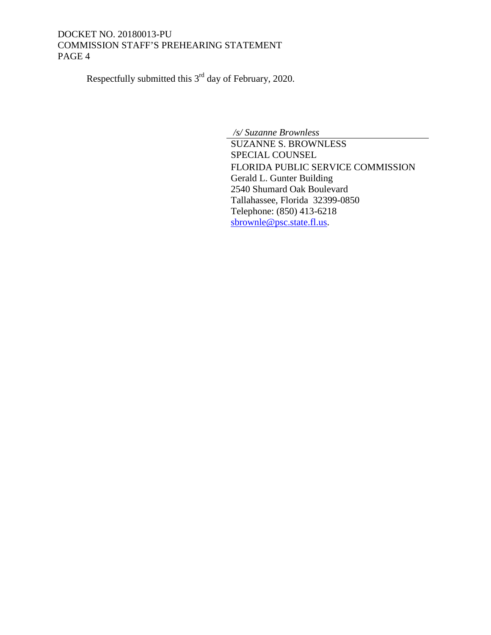# DOCKET NO. 20180013-PU COMMISSION STAFF'S PREHEARING STATEMENT PAGE 4

Respectfully submitted this 3rd day of February, 2020.

*/s/ Suzanne Brownless* SUZANNE S. BROWNLESS SPECIAL COUNSEL FLORIDA PUBLIC SERVICE COMMISSION Gerald L. Gunter Building 2540 Shumard Oak Boulevard Tallahassee, Florida 32399-0850 Telephone: (850) 413-6218 [sbrownle@psc.state.fl.us.](mailto:sbrownle@psc.state.fl.us)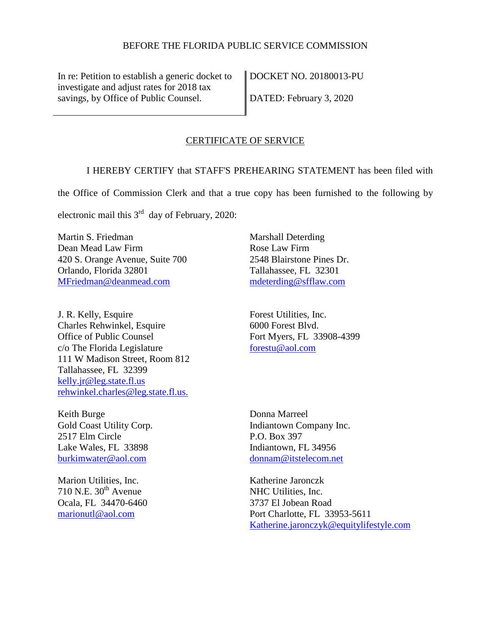### BEFORE THE FLORIDA PUBLIC SERVICE COMMISSION

In re: Petition to establish a generic docket to investigate and adjust rates for 2018 tax savings, by Office of Public Counsel.

DOCKET NO. 20180013-PU

DATED: February 3, 2020

#### CERTIFICATE OF SERVICE

I HEREBY CERTIFY that STAFF'S PREHEARING STATEMENT has been filed with

the Office of Commission Clerk and that a true copy has been furnished to the following by

electronic mail this  $3<sup>rd</sup>$  day of February, 2020:

Martin S. Friedman Dean Mead Law Firm 420 S. Orange Avenue, Suite 700 Orlando, Florida 32801 [MFriedman@deanmead.com](mailto:MFriedman@deanmead.com)

J. R. Kelly, Esquire Charles Rehwinkel, Esquire Office of Public Counsel c/o The Florida Legislature 111 W Madison Street, Room 812 Tallahassee, FL 32399 [kelly.jr@leg.state.fl.us](mailto:kelly.jr@leg.state.fl.us) [rehwinkel.charles@leg.state.fl.us.](mailto:rehwinkel.charles@leg.state.fl.us.)

Keith Burge Gold Coast Utility Corp. 2517 Elm Circle Lake Wales, FL 33898 [burkimwater@aol.com](mailto:burkimwater@aol.com)

Marion Utilities, Inc.  $710$  N.E.  $30<sup>th</sup>$  Avenue Ocala, FL 34470-6460 [marionutl@aol.com](mailto:marionutl@aol.com) 

Marshall Deterding Rose Law Firm 2548 Blairstone Pines Dr. Tallahassee, FL 32301 [mdeterding@sfflaw.com](mailto:mdeterding@sfflaw.com) 

Forest Utilities, Inc. 6000 Forest Blvd. Fort Myers, FL 33908-4399 [forestu@aol.com](mailto:forestu@aol.com) 

Donna Marreel Indiantown Company Inc. P.O. Box 397 Indiantown, FL 34956 [donnam@itstelecom.net](mailto:donnam@itstelecom.net)

Katherine Jaronczk NHC Utilities, Inc. 3737 El Jobean Road Port Charlotte, FL 33953-5611 [Katherine.jaronczyk@equitylifestyle.com](mailto:Katherine.jaronczyk@equitylifestyle.com)